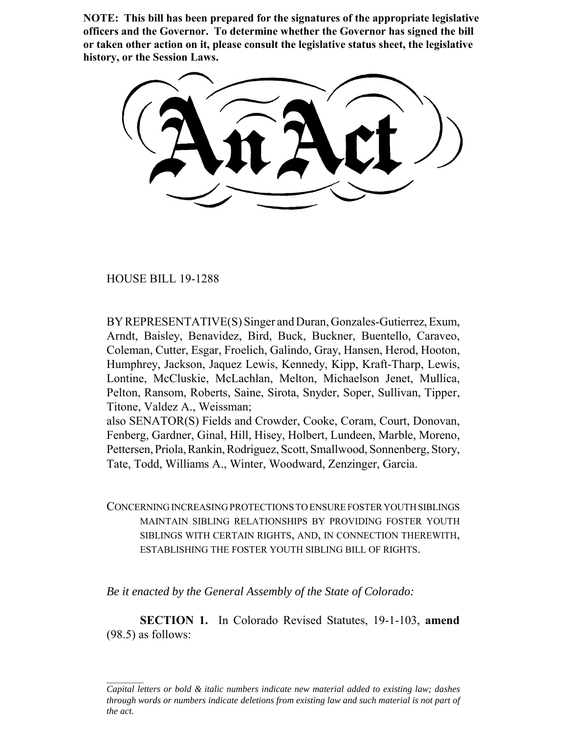**NOTE: This bill has been prepared for the signatures of the appropriate legislative officers and the Governor. To determine whether the Governor has signed the bill or taken other action on it, please consult the legislative status sheet, the legislative history, or the Session Laws.**

HOUSE BILL 19-1288

BY REPRESENTATIVE(S) Singer and Duran, Gonzales-Gutierrez, Exum, Arndt, Baisley, Benavidez, Bird, Buck, Buckner, Buentello, Caraveo, Coleman, Cutter, Esgar, Froelich, Galindo, Gray, Hansen, Herod, Hooton, Humphrey, Jackson, Jaquez Lewis, Kennedy, Kipp, Kraft-Tharp, Lewis, Lontine, McCluskie, McLachlan, Melton, Michaelson Jenet, Mullica, Pelton, Ransom, Roberts, Saine, Sirota, Snyder, Soper, Sullivan, Tipper, Titone, Valdez A., Weissman;

also SENATOR(S) Fields and Crowder, Cooke, Coram, Court, Donovan, Fenberg, Gardner, Ginal, Hill, Hisey, Holbert, Lundeen, Marble, Moreno, Pettersen, Priola, Rankin, Rodriguez, Scott, Smallwood, Sonnenberg, Story, Tate, Todd, Williams A., Winter, Woodward, Zenzinger, Garcia.

CONCERNING INCREASING PROTECTIONS TO ENSURE FOSTER YOUTH SIBLINGS MAINTAIN SIBLING RELATIONSHIPS BY PROVIDING FOSTER YOUTH SIBLINGS WITH CERTAIN RIGHTS, AND, IN CONNECTION THEREWITH, ESTABLISHING THE FOSTER YOUTH SIBLING BILL OF RIGHTS.

*Be it enacted by the General Assembly of the State of Colorado:*

**SECTION 1.** In Colorado Revised Statutes, 19-1-103, **amend** (98.5) as follows:

*Capital letters or bold & italic numbers indicate new material added to existing law; dashes through words or numbers indicate deletions from existing law and such material is not part of the act.*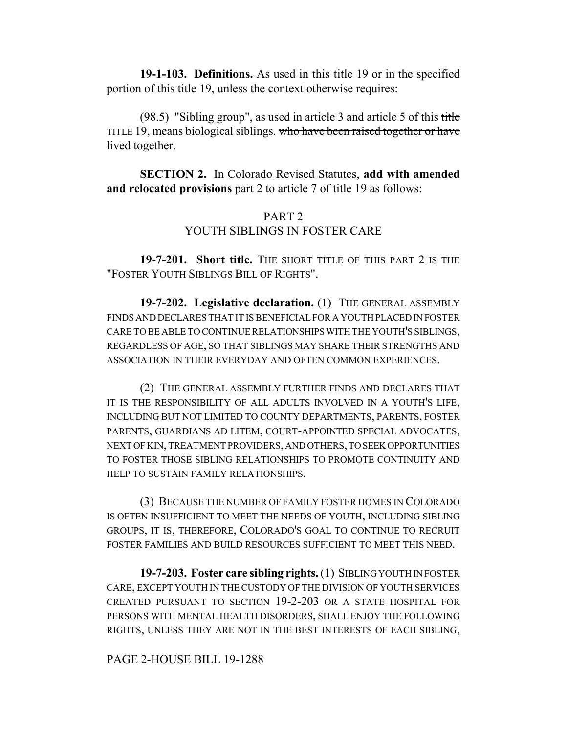**19-1-103. Definitions.** As used in this title 19 or in the specified portion of this title 19, unless the context otherwise requires:

(98.5) "Sibling group", as used in article 3 and article 5 of this title TITLE 19, means biological siblings. who have been raised together or have lived together.

**SECTION 2.** In Colorado Revised Statutes, **add with amended and relocated provisions** part 2 to article 7 of title 19 as follows:

## PART 2 YOUTH SIBLINGS IN FOSTER CARE

**19-7-201. Short title.** THE SHORT TITLE OF THIS PART 2 IS THE "FOSTER YOUTH SIBLINGS BILL OF RIGHTS".

**19-7-202. Legislative declaration.** (1) THE GENERAL ASSEMBLY FINDS AND DECLARES THAT IT IS BENEFICIAL FOR A YOUTH PLACED IN FOSTER CARE TO BE ABLE TO CONTINUE RELATIONSHIPS WITH THE YOUTH'S SIBLINGS, REGARDLESS OF AGE, SO THAT SIBLINGS MAY SHARE THEIR STRENGTHS AND ASSOCIATION IN THEIR EVERYDAY AND OFTEN COMMON EXPERIENCES.

(2) THE GENERAL ASSEMBLY FURTHER FINDS AND DECLARES THAT IT IS THE RESPONSIBILITY OF ALL ADULTS INVOLVED IN A YOUTH'S LIFE, INCLUDING BUT NOT LIMITED TO COUNTY DEPARTMENTS, PARENTS, FOSTER PARENTS, GUARDIANS AD LITEM, COURT-APPOINTED SPECIAL ADVOCATES, NEXT OF KIN, TREATMENT PROVIDERS, AND OTHERS, TO SEEK OPPORTUNITIES TO FOSTER THOSE SIBLING RELATIONSHIPS TO PROMOTE CONTINUITY AND HELP TO SUSTAIN FAMILY RELATIONSHIPS.

(3) BECAUSE THE NUMBER OF FAMILY FOSTER HOMES IN COLORADO IS OFTEN INSUFFICIENT TO MEET THE NEEDS OF YOUTH, INCLUDING SIBLING GROUPS, IT IS, THEREFORE, COLORADO'S GOAL TO CONTINUE TO RECRUIT FOSTER FAMILIES AND BUILD RESOURCES SUFFICIENT TO MEET THIS NEED.

**19-7-203. Foster care sibling rights.** (1) SIBLING YOUTH IN FOSTER CARE, EXCEPT YOUTH IN THE CUSTODY OF THE DIVISION OF YOUTH SERVICES CREATED PURSUANT TO SECTION 19-2-203 OR A STATE HOSPITAL FOR PERSONS WITH MENTAL HEALTH DISORDERS, SHALL ENJOY THE FOLLOWING RIGHTS, UNLESS THEY ARE NOT IN THE BEST INTERESTS OF EACH SIBLING,

## PAGE 2-HOUSE BILL 19-1288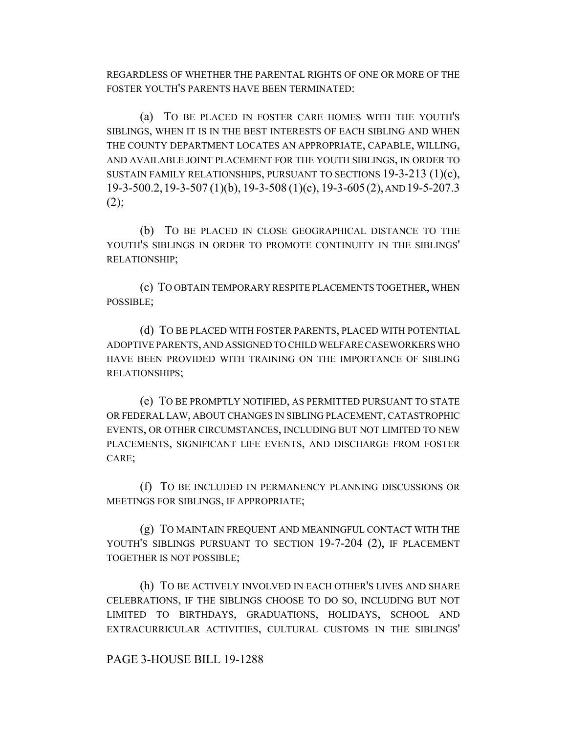REGARDLESS OF WHETHER THE PARENTAL RIGHTS OF ONE OR MORE OF THE FOSTER YOUTH'S PARENTS HAVE BEEN TERMINATED:

(a) TO BE PLACED IN FOSTER CARE HOMES WITH THE YOUTH'S SIBLINGS, WHEN IT IS IN THE BEST INTERESTS OF EACH SIBLING AND WHEN THE COUNTY DEPARTMENT LOCATES AN APPROPRIATE, CAPABLE, WILLING, AND AVAILABLE JOINT PLACEMENT FOR THE YOUTH SIBLINGS, IN ORDER TO SUSTAIN FAMILY RELATIONSHIPS, PURSUANT TO SECTIONS 19-3-213 (1)(c), 19-3-500.2,19-3-507 (1)(b), 19-3-508 (1)(c), 19-3-605(2), AND 19-5-207.3  $(2);$ 

(b) TO BE PLACED IN CLOSE GEOGRAPHICAL DISTANCE TO THE YOUTH'S SIBLINGS IN ORDER TO PROMOTE CONTINUITY IN THE SIBLINGS' RELATIONSHIP;

(c) TO OBTAIN TEMPORARY RESPITE PLACEMENTS TOGETHER, WHEN POSSIBLE;

(d) TO BE PLACED WITH FOSTER PARENTS, PLACED WITH POTENTIAL ADOPTIVE PARENTS, AND ASSIGNED TO CHILD WELFARE CASEWORKERS WHO HAVE BEEN PROVIDED WITH TRAINING ON THE IMPORTANCE OF SIBLING RELATIONSHIPS;

(e) TO BE PROMPTLY NOTIFIED, AS PERMITTED PURSUANT TO STATE OR FEDERAL LAW, ABOUT CHANGES IN SIBLING PLACEMENT, CATASTROPHIC EVENTS, OR OTHER CIRCUMSTANCES, INCLUDING BUT NOT LIMITED TO NEW PLACEMENTS, SIGNIFICANT LIFE EVENTS, AND DISCHARGE FROM FOSTER CARE;

(f) TO BE INCLUDED IN PERMANENCY PLANNING DISCUSSIONS OR MEETINGS FOR SIBLINGS, IF APPROPRIATE;

(g) TO MAINTAIN FREQUENT AND MEANINGFUL CONTACT WITH THE YOUTH'S SIBLINGS PURSUANT TO SECTION 19-7-204 (2), IF PLACEMENT TOGETHER IS NOT POSSIBLE;

(h) TO BE ACTIVELY INVOLVED IN EACH OTHER'S LIVES AND SHARE CELEBRATIONS, IF THE SIBLINGS CHOOSE TO DO SO, INCLUDING BUT NOT LIMITED TO BIRTHDAYS, GRADUATIONS, HOLIDAYS, SCHOOL AND EXTRACURRICULAR ACTIVITIES, CULTURAL CUSTOMS IN THE SIBLINGS'

PAGE 3-HOUSE BILL 19-1288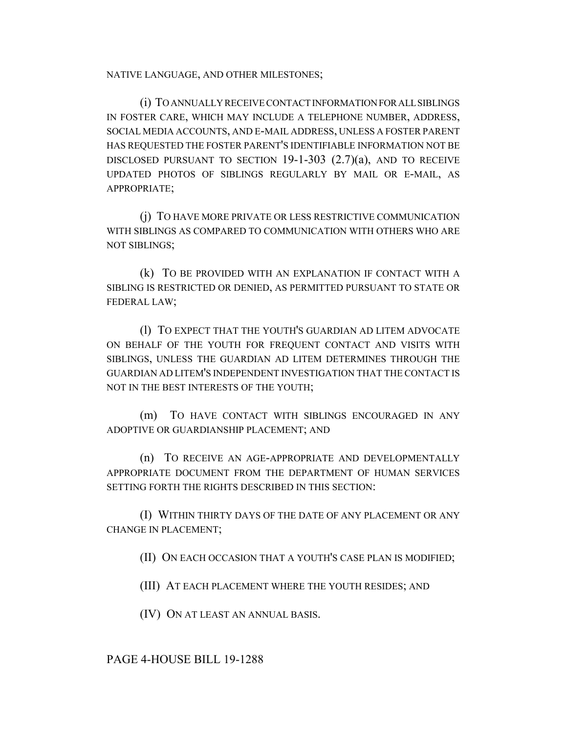NATIVE LANGUAGE, AND OTHER MILESTONES;

(i) TO ANNUALLY RECEIVE CONTACT INFORMATION FOR ALL SIBLINGS IN FOSTER CARE, WHICH MAY INCLUDE A TELEPHONE NUMBER, ADDRESS, SOCIAL MEDIA ACCOUNTS, AND E-MAIL ADDRESS, UNLESS A FOSTER PARENT HAS REQUESTED THE FOSTER PARENT'S IDENTIFIABLE INFORMATION NOT BE DISCLOSED PURSUANT TO SECTION  $19-1-303$   $(2.7)(a)$ , and to receive UPDATED PHOTOS OF SIBLINGS REGULARLY BY MAIL OR E-MAIL, AS APPROPRIATE;

(j) TO HAVE MORE PRIVATE OR LESS RESTRICTIVE COMMUNICATION WITH SIBLINGS AS COMPARED TO COMMUNICATION WITH OTHERS WHO ARE NOT SIBLINGS;

(k) TO BE PROVIDED WITH AN EXPLANATION IF CONTACT WITH A SIBLING IS RESTRICTED OR DENIED, AS PERMITTED PURSUANT TO STATE OR FEDERAL LAW;

(l) TO EXPECT THAT THE YOUTH'S GUARDIAN AD LITEM ADVOCATE ON BEHALF OF THE YOUTH FOR FREQUENT CONTACT AND VISITS WITH SIBLINGS, UNLESS THE GUARDIAN AD LITEM DETERMINES THROUGH THE GUARDIAN AD LITEM'S INDEPENDENT INVESTIGATION THAT THE CONTACT IS NOT IN THE BEST INTERESTS OF THE YOUTH;

(m) TO HAVE CONTACT WITH SIBLINGS ENCOURAGED IN ANY ADOPTIVE OR GUARDIANSHIP PLACEMENT; AND

(n) TO RECEIVE AN AGE-APPROPRIATE AND DEVELOPMENTALLY APPROPRIATE DOCUMENT FROM THE DEPARTMENT OF HUMAN SERVICES SETTING FORTH THE RIGHTS DESCRIBED IN THIS SECTION:

(I) WITHIN THIRTY DAYS OF THE DATE OF ANY PLACEMENT OR ANY CHANGE IN PLACEMENT;

(II) ON EACH OCCASION THAT A YOUTH'S CASE PLAN IS MODIFIED;

(III) AT EACH PLACEMENT WHERE THE YOUTH RESIDES; AND

(IV) ON AT LEAST AN ANNUAL BASIS.

PAGE 4-HOUSE BILL 19-1288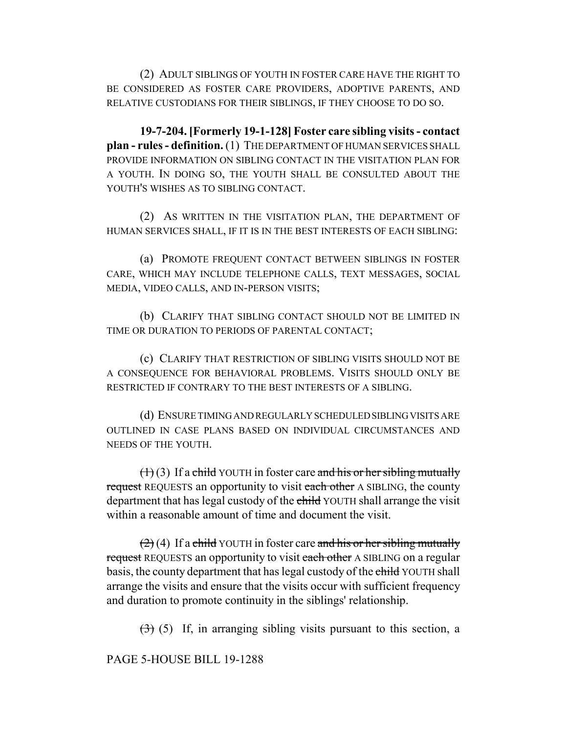(2) ADULT SIBLINGS OF YOUTH IN FOSTER CARE HAVE THE RIGHT TO BE CONSIDERED AS FOSTER CARE PROVIDERS, ADOPTIVE PARENTS, AND RELATIVE CUSTODIANS FOR THEIR SIBLINGS, IF THEY CHOOSE TO DO SO.

**19-7-204. [Formerly 19-1-128] Foster care sibling visits - contact plan - rules - definition.** (1) THE DEPARTMENT OF HUMAN SERVICES SHALL PROVIDE INFORMATION ON SIBLING CONTACT IN THE VISITATION PLAN FOR A YOUTH. IN DOING SO, THE YOUTH SHALL BE CONSULTED ABOUT THE YOUTH'S WISHES AS TO SIBLING CONTACT.

(2) AS WRITTEN IN THE VISITATION PLAN, THE DEPARTMENT OF HUMAN SERVICES SHALL, IF IT IS IN THE BEST INTERESTS OF EACH SIBLING:

(a) PROMOTE FREQUENT CONTACT BETWEEN SIBLINGS IN FOSTER CARE, WHICH MAY INCLUDE TELEPHONE CALLS, TEXT MESSAGES, SOCIAL MEDIA, VIDEO CALLS, AND IN-PERSON VISITS;

(b) CLARIFY THAT SIBLING CONTACT SHOULD NOT BE LIMITED IN TIME OR DURATION TO PERIODS OF PARENTAL CONTACT;

(c) CLARIFY THAT RESTRICTION OF SIBLING VISITS SHOULD NOT BE A CONSEQUENCE FOR BEHAVIORAL PROBLEMS. VISITS SHOULD ONLY BE RESTRICTED IF CONTRARY TO THE BEST INTERESTS OF A SIBLING.

(d) ENSURE TIMING AND REGULARLY SCHEDULED SIBLING VISITS ARE OUTLINED IN CASE PLANS BASED ON INDIVIDUAL CIRCUMSTANCES AND NEEDS OF THE YOUTH.

 $(1)(3)$  If a child YOUTH in foster care and his or her sibling mutually request REQUESTS an opportunity to visit each other A SIBLING, the county department that has legal custody of the child YOUTH shall arrange the visit within a reasonable amount of time and document the visit.

 $(2)(4)$  If a child YOUTH in foster care and his or her sibling mutually request REQUESTS an opportunity to visit each other A SIBLING on a regular basis, the county department that has legal custody of the child YOUTH shall arrange the visits and ensure that the visits occur with sufficient frequency and duration to promote continuity in the siblings' relationship.

 $(3)$  (5) If, in arranging sibling visits pursuant to this section, a

PAGE 5-HOUSE BILL 19-1288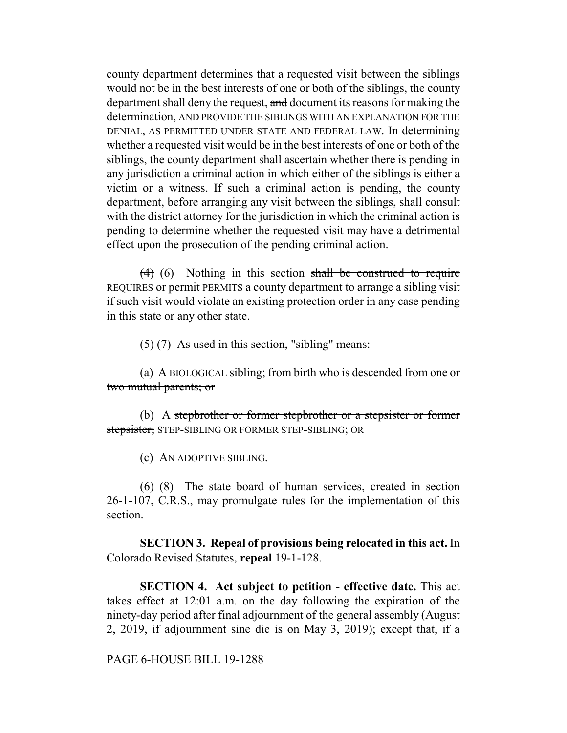county department determines that a requested visit between the siblings would not be in the best interests of one or both of the siblings, the county department shall deny the request, and document its reasons for making the determination, AND PROVIDE THE SIBLINGS WITH AN EXPLANATION FOR THE DENIAL, AS PERMITTED UNDER STATE AND FEDERAL LAW. In determining whether a requested visit would be in the best interests of one or both of the siblings, the county department shall ascertain whether there is pending in any jurisdiction a criminal action in which either of the siblings is either a victim or a witness. If such a criminal action is pending, the county department, before arranging any visit between the siblings, shall consult with the district attorney for the jurisdiction in which the criminal action is pending to determine whether the requested visit may have a detrimental effect upon the prosecution of the pending criminal action.

 $(4)$  (6) Nothing in this section shall be construed to require REQUIRES or permit PERMITS a county department to arrange a sibling visit if such visit would violate an existing protection order in any case pending in this state or any other state.

 $(5)$  (7) As used in this section, "sibling" means:

(a) A BIOLOGICAL sibling; from birth who is descended from one or two mutual parents; or

(b) A stepbrother or former stepbrother or a stepsister or former stepsister; STEP-SIBLING OR FORMER STEP-SIBLING; OR

(c) AN ADOPTIVE SIBLING.

 $(6)$  (8) The state board of human services, created in section 26-1-107,  $C.R.S.,$  may promulgate rules for the implementation of this section.

**SECTION 3. Repeal of provisions being relocated in this act.** In Colorado Revised Statutes, **repeal** 19-1-128.

**SECTION 4. Act subject to petition - effective date.** This act takes effect at 12:01 a.m. on the day following the expiration of the ninety-day period after final adjournment of the general assembly (August 2, 2019, if adjournment sine die is on May 3, 2019); except that, if a

## PAGE 6-HOUSE BILL 19-1288